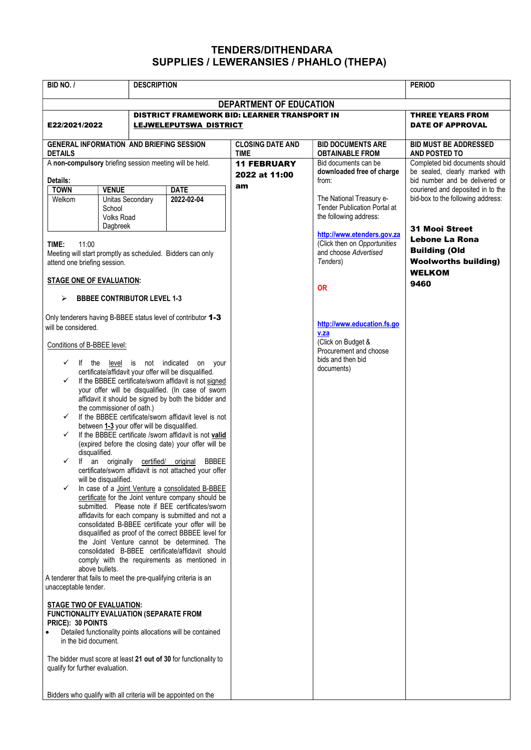## TENDERS/DITHENDARA SUPPLIES / LEWERANSIES / PHAHLO (THEPA)

| BID NO. /                                                                                                                                                                                                                                                                                                                                                                                                                                                                                                                                                                                                                                                                                                                                                                                                                                                                                                                                                                                                                                                                                                                                                                                                                                                                                                                                                                                                                                                                                                                                                                                                                                                                                                                                                                                                                                  |                                                                 | <b>DESCRIPTION</b>        |                                              |                                                                                                                       | <b>PERIOD</b>                                                                                                   |  |
|--------------------------------------------------------------------------------------------------------------------------------------------------------------------------------------------------------------------------------------------------------------------------------------------------------------------------------------------------------------------------------------------------------------------------------------------------------------------------------------------------------------------------------------------------------------------------------------------------------------------------------------------------------------------------------------------------------------------------------------------------------------------------------------------------------------------------------------------------------------------------------------------------------------------------------------------------------------------------------------------------------------------------------------------------------------------------------------------------------------------------------------------------------------------------------------------------------------------------------------------------------------------------------------------------------------------------------------------------------------------------------------------------------------------------------------------------------------------------------------------------------------------------------------------------------------------------------------------------------------------------------------------------------------------------------------------------------------------------------------------------------------------------------------------------------------------------------------------|-----------------------------------------------------------------|---------------------------|----------------------------------------------|-----------------------------------------------------------------------------------------------------------------------|-----------------------------------------------------------------------------------------------------------------|--|
|                                                                                                                                                                                                                                                                                                                                                                                                                                                                                                                                                                                                                                                                                                                                                                                                                                                                                                                                                                                                                                                                                                                                                                                                                                                                                                                                                                                                                                                                                                                                                                                                                                                                                                                                                                                                                                            |                                                                 |                           | DEPARTMENT OF EDUCATION                      |                                                                                                                       |                                                                                                                 |  |
| E22/2021/2022                                                                                                                                                                                                                                                                                                                                                                                                                                                                                                                                                                                                                                                                                                                                                                                                                                                                                                                                                                                                                                                                                                                                                                                                                                                                                                                                                                                                                                                                                                                                                                                                                                                                                                                                                                                                                              |                                                                 | LEJWELEPUTSWA DISTRICT    | DISTRICT FRAMEWORK BID: LEARNER TRANSPORT IN |                                                                                                                       | <b>THREE YEARS FROM</b><br><b>DATE OF APPROVAL</b>                                                              |  |
| <b>GENERAL INFORMATION AND BRIEFING SESSION</b><br><b>DETAILS</b>                                                                                                                                                                                                                                                                                                                                                                                                                                                                                                                                                                                                                                                                                                                                                                                                                                                                                                                                                                                                                                                                                                                                                                                                                                                                                                                                                                                                                                                                                                                                                                                                                                                                                                                                                                          |                                                                 |                           | <b>CLOSING DATE AND</b><br><b>TIME</b>       | <b>BID DOCUMENTS ARE</b><br><b>OBTAINABLE FROM</b>                                                                    | <b>BID MUST BE ADDRESSED</b><br>AND POSTED TO                                                                   |  |
| A non-compulsory briefing session meeting will be held.<br>Details:                                                                                                                                                                                                                                                                                                                                                                                                                                                                                                                                                                                                                                                                                                                                                                                                                                                                                                                                                                                                                                                                                                                                                                                                                                                                                                                                                                                                                                                                                                                                                                                                                                                                                                                                                                        |                                                                 |                           | <b>11 FEBRUARY</b><br>2022 at 11:00<br>am    | Bid documents can be<br>downloaded free of charge<br>from:                                                            | Completed bid documents should<br>be sealed, clearly marked with<br>bid number and be delivered or              |  |
| <b>TOWN</b><br>Welkom                                                                                                                                                                                                                                                                                                                                                                                                                                                                                                                                                                                                                                                                                                                                                                                                                                                                                                                                                                                                                                                                                                                                                                                                                                                                                                                                                                                                                                                                                                                                                                                                                                                                                                                                                                                                                      | <b>VENUE</b><br>Unitas Secondary<br>School<br><b>Volks Road</b> | <b>DATE</b><br>2022-02-04 |                                              | The National Treasury e-<br><b>Tender Publication Portal at</b><br>the following address:                             | couriered and deposited in to the<br>bid-box to the following address:                                          |  |
| Dagbreek<br>TIME:<br>11:00<br>Meeting will start promptly as scheduled. Bidders can only<br>attend one briefing session.                                                                                                                                                                                                                                                                                                                                                                                                                                                                                                                                                                                                                                                                                                                                                                                                                                                                                                                                                                                                                                                                                                                                                                                                                                                                                                                                                                                                                                                                                                                                                                                                                                                                                                                   |                                                                 |                           |                                              | http://www.etenders.gov.za<br>(Click then on Opportunities<br>and choose Advertised<br>Tenders)                       | <b>31 Mooi Street</b><br>Lebone La Rona<br><b>Building (Old</b><br><b>Woolworths building)</b><br><b>WELKOM</b> |  |
| <b>STAGE ONE OF EVALUATION:</b>                                                                                                                                                                                                                                                                                                                                                                                                                                                                                                                                                                                                                                                                                                                                                                                                                                                                                                                                                                                                                                                                                                                                                                                                                                                                                                                                                                                                                                                                                                                                                                                                                                                                                                                                                                                                            |                                                                 |                           |                                              | <b>OR</b>                                                                                                             | 9460                                                                                                            |  |
| <b>BBBEE CONTRIBUTOR LEVEL 1-3</b><br>➤<br>Only tenderers having B-BBEE status level of contributor 1-3<br>will be considered.<br>Conditions of B-BBEE level:<br>level is not indicated on your<br>$\checkmark$<br>If the<br>certificate/affidavit your offer will be disqualified.<br>If the BBBEE certificate/sworn affidavit is not signed<br>✓<br>your offer will be disqualified. (In case of sworn<br>affidavit it should be signed by both the bidder and<br>the commissioner of oath.)<br>If the BBBEE certificate/sworn affidavit level is not<br>✓<br>between 1-3 your offer will be disqualified.<br>If the BBBEE certificate /sworn affidavit is not valid<br>✓<br>(expired before the closing date) your offer will be<br>disqualified.<br>an originally certified/ original<br>$\checkmark$<br>If<br><b>BBBEE</b><br>certificate/sworn affidavit is not attached your offer<br>will be disqualified.<br>In case of a Joint Venture a consolidated B-BBEE<br>certificate for the Joint venture company should be<br>submitted. Please note if BEE certificates/sworn<br>affidavits for each company is submitted and not a<br>consolidated B-BBEE certificate your offer will be<br>disqualified as proof of the correct BBBEE level for<br>the Joint Venture cannot be determined. The<br>consolidated B-BBEE certificate/affidavit should<br>comply with the requirements as mentioned in<br>above bullets.<br>A tenderer that fails to meet the pre-qualifying criteria is an<br>unacceptable tender.<br><b>STAGE TWO OF EVALUATION:</b><br><b>FUNCTIONALITY EVALUATION (SEPARATE FROM</b><br>PRICE): 30 POINTS<br>Detailed functionality points allocations will be contained<br>$\bullet$<br>in the bid document.<br>The bidder must score at least 21 out of 30 for functionality to<br>qualify for further evaluation. |                                                                 |                           |                                              | http://www.education.fs.go<br>v.za<br>(Click on Budget &<br>Procurement and choose<br>bids and then bid<br>documents) |                                                                                                                 |  |
| Bidders who qualify with all criteria will be appointed on the                                                                                                                                                                                                                                                                                                                                                                                                                                                                                                                                                                                                                                                                                                                                                                                                                                                                                                                                                                                                                                                                                                                                                                                                                                                                                                                                                                                                                                                                                                                                                                                                                                                                                                                                                                             |                                                                 |                           |                                              |                                                                                                                       |                                                                                                                 |  |